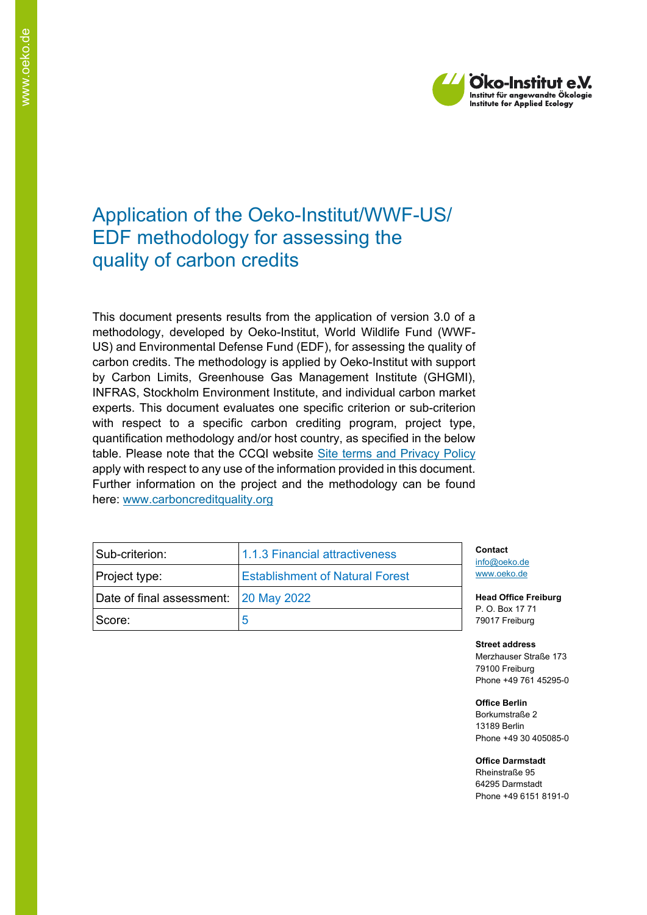

## Application of the Oeko-Institut/WWF-US/ EDF methodology for assessing the quality of carbon credits

This document presents results from the application of version 3.0 of a methodology, developed by Oeko-Institut, World Wildlife Fund (WWF-US) and Environmental Defense Fund (EDF), for assessing the quality of carbon credits. The methodology is applied by Oeko-Institut with support by Carbon Limits, Greenhouse Gas Management Institute (GHGMI), INFRAS, Stockholm Environment Institute, and individual carbon market experts. This document evaluates one specific criterion or sub-criterion with respect to a specific carbon crediting program, project type, quantification methodology and/or host country, as specified in the below table. Please note that the CCQI website [Site terms and Privacy Policy](https://carboncreditquality.org/terms.html) apply with respect to any use of the information provided in this document. Further information on the project and the methodology can be found here: [www.carboncreditquality.org](http://www.carboncreditquality.org/)

| Sub-criterion:                        | 1.1.3 Financial attractiveness         | Contact<br>info@oeko<br>www.oeko |
|---------------------------------------|----------------------------------------|----------------------------------|
| Project type:                         | <b>Establishment of Natural Forest</b> |                                  |
| Date of final assessment: 20 May 2022 |                                        | <b>Head Offi</b><br>P.O. Box     |
| Score:                                |                                        | 79017 Fre                        |

in de w.de

**Head Office Freiburg** 17 71 iburg

**Street address**

Merzhauser Straße 173 79100 Freiburg Phone +49 761 45295-0

**Office Berlin**

Borkumstraße 2 13189 Berlin Phone +49 30 405085-0

**Office Darmstadt**

Rheinstraße 95 64295 Darmstadt Phone +49 6151 8191-0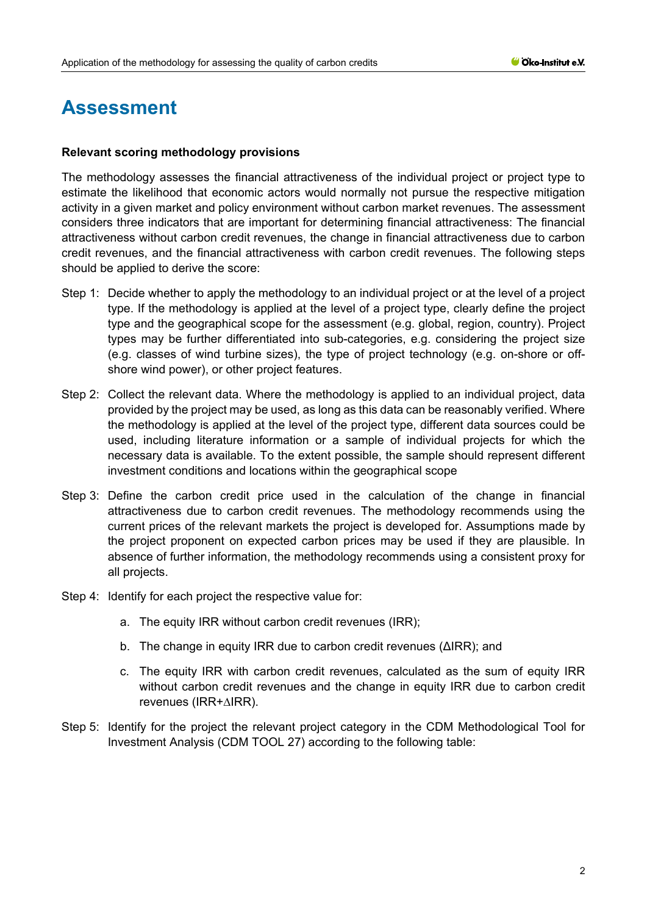# **Assessment**

### **Relevant scoring methodology provisions**

The methodology assesses the financial attractiveness of the individual project or project type to estimate the likelihood that economic actors would normally not pursue the respective mitigation activity in a given market and policy environment without carbon market revenues. The assessment considers three indicators that are important for determining financial attractiveness: The financial attractiveness without carbon credit revenues, the change in financial attractiveness due to carbon credit revenues, and the financial attractiveness with carbon credit revenues. The following steps should be applied to derive the score:

- Step 1: Decide whether to apply the methodology to an individual project or at the level of a project type. If the methodology is applied at the level of a project type, clearly define the project type and the geographical scope for the assessment (e.g. global, region, country). Project types may be further differentiated into sub-categories, e.g. considering the project size (e.g. classes of wind turbine sizes), the type of project technology (e.g. on-shore or offshore wind power), or other project features.
- Step 2: Collect the relevant data. Where the methodology is applied to an individual project, data provided by the project may be used, as long as this data can be reasonably verified. Where the methodology is applied at the level of the project type, different data sources could be used, including literature information or a sample of individual projects for which the necessary data is available. To the extent possible, the sample should represent different investment conditions and locations within the geographical scope
- Step 3: Define the carbon credit price used in the calculation of the change in financial attractiveness due to carbon credit revenues. The methodology recommends using the current prices of the relevant markets the project is developed for. Assumptions made by the project proponent on expected carbon prices may be used if they are plausible. In absence of further information, the methodology recommends using a consistent proxy for all projects.
- Step 4: Identify for each project the respective value for:
	- a. The equity IRR without carbon credit revenues (IRR);
	- b. The change in equity IRR due to carbon credit revenues (ΔIRR); and
	- c. The equity IRR with carbon credit revenues, calculated as the sum of equity IRR without carbon credit revenues and the change in equity IRR due to carbon credit revenues (IRR+∆IRR).
- Step 5: Identify for the project the relevant project category in the CDM Methodological Tool for Investment Analysis (CDM TOOL 27) according to the following table: